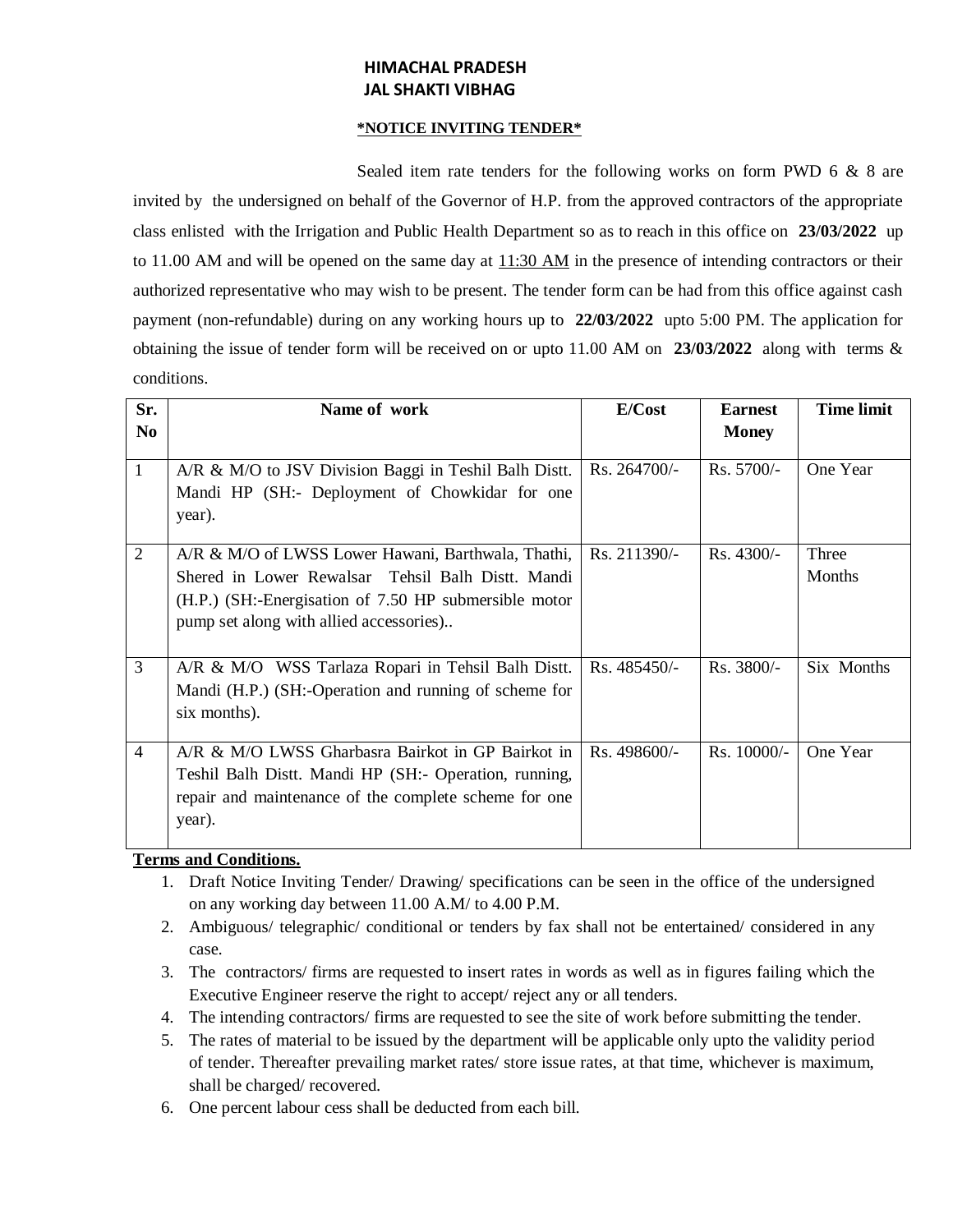# **HIMACHAL PRADESH JAL SHAKTI VIBHAG**

#### **\*NOTICE INVITING TENDER\***

Sealed item rate tenders for the following works on form PWD 6 & 8 are invited by the undersigned on behalf of the Governor of H.P. from the approved contractors of the appropriate class enlisted with the Irrigation and Public Health Department so as to reach in this office on **23/03/2022** up to 11.00 AM and will be opened on the same day at  $11:30$  AM in the presence of intending contractors or their authorized representative who may wish to be present. The tender form can be had from this office against cash payment (non-refundable) during on any working hours up to **22/03/2022** upto 5:00 PM. The application for obtaining the issue of tender form will be received on or upto 11.00 AM on **23/03/2022** along with terms & conditions.

| Sr.            | Name of work                                                                                                                                                                                                | E/Cost         | <b>Earnest</b> | <b>Time limit</b> |
|----------------|-------------------------------------------------------------------------------------------------------------------------------------------------------------------------------------------------------------|----------------|----------------|-------------------|
| N <sub>0</sub> |                                                                                                                                                                                                             |                | <b>Money</b>   |                   |
| $\mathbf{1}$   | A/R & M/O to JSV Division Baggi in Teshil Balh Distt.<br>Mandi HP (SH:- Deployment of Chowkidar for one<br>year).                                                                                           | $Rs. 264700/-$ | $Rs. 5700/-$   | One Year          |
| $\overline{2}$ | A/R & M/O of LWSS Lower Hawani, Barthwala, Thathi,<br>Shered in Lower Rewalsar Tehsil Balh Distt. Mandi<br>(H.P.) (SH:-Energisation of 7.50 HP submersible motor<br>pump set along with allied accessories) | Rs. 211390/-   | $Rs.4300/-$    | Three<br>Months   |
| 3              | A/R & M/O WSS Tarlaza Ropari in Tehsil Balh Distt.<br>Mandi (H.P.) (SH:-Operation and running of scheme for<br>six months).                                                                                 | $Rs.485450/-$  | Rs. 3800/-     | Six Months        |
| $\overline{4}$ | A/R & M/O LWSS Gharbasra Bairkot in GP Bairkot in<br>Teshil Balh Distt. Mandi HP (SH:- Operation, running,<br>repair and maintenance of the complete scheme for one<br>year).                               | Rs. 498600/-   | $Rs. 10000/-$  | One Year          |

### **Terms and Conditions.**

- 1. Draft Notice Inviting Tender/ Drawing/ specifications can be seen in the office of the undersigned on any working day between 11.00 A.M/ to 4.00 P.M.
- 2. Ambiguous/ telegraphic/ conditional or tenders by fax shall not be entertained/ considered in any case.
- 3. The contractors/ firms are requested to insert rates in words as well as in figures failing which the Executive Engineer reserve the right to accept/ reject any or all tenders.
- 4. The intending contractors/ firms are requested to see the site of work before submitting the tender.
- 5. The rates of material to be issued by the department will be applicable only upto the validity period of tender. Thereafter prevailing market rates/ store issue rates, at that time, whichever is maximum, shall be charged/ recovered.
- 6. One percent labour cess shall be deducted from each bill.